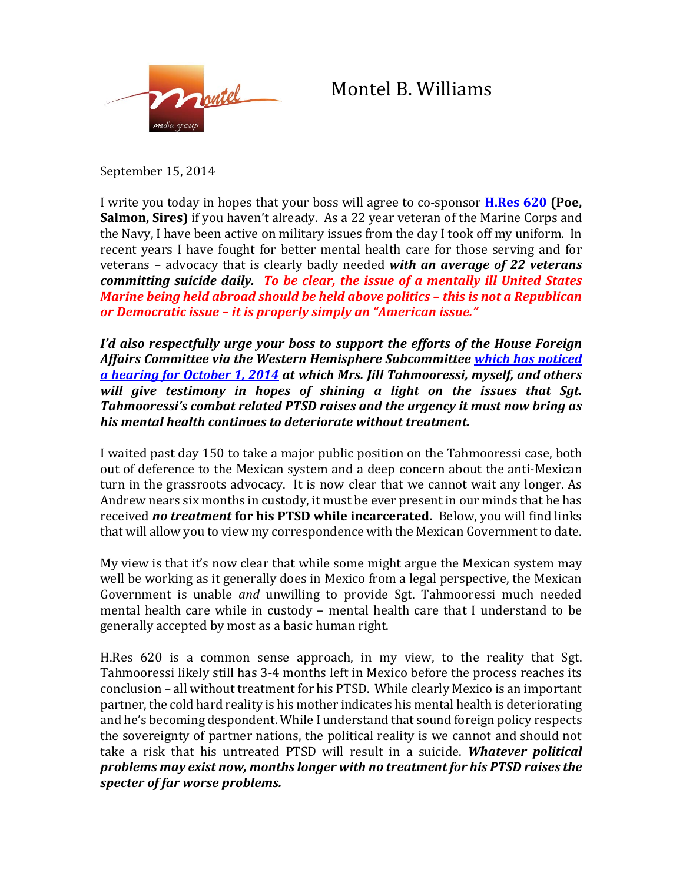

## Montel B. Williams

September 15, 2014

I write you today in hopes that your boss will agree to co-sponsor **[H.Res 620](https://beta.congress.gov/bill/113th-congress/house-resolution/620) (Poe, Salmon, Sires)** if you haven't already. As a 22 year veteran of the Marine Corps and the Navy, I have been active on military issues from the day I took off my uniform. In recent years I have fought for better mental health care for those serving and for veterans – advocacy that is clearly badly needed *with an average of 22 veterans committing suicide daily. To be clear, the issue of a mentally ill United States Marine being held abroad should be held above politics – this is not a Republican or Democratic issue – it is properly simply an "American issue."*

*I'd also respectfully urge your boss to support the efforts of the House Foreign Affairs Committee via the Western Hemisphere Subcommittee [which has noticed](http://foreignaffairs.house.gov/hearing/subcommittee-hearing-sergeant-andrew-tahmooressi-our-marine-mexican-custody)  [a hearing for October 1, 2014](http://foreignaffairs.house.gov/hearing/subcommittee-hearing-sergeant-andrew-tahmooressi-our-marine-mexican-custody) at which Mrs. Jill Tahmooressi, myself, and others will give testimony in hopes of shining a light on the issues that Sgt. Tahmooressi's combat related PTSD raises and the urgency it must now bring as his mental health continues to deteriorate without treatment.*

I waited past day 150 to take a major public position on the Tahmooressi case, both out of deference to the Mexican system and a deep concern about the anti-Mexican turn in the grassroots advocacy. It is now clear that we cannot wait any longer. As Andrew nears six months in custody, it must be ever present in our minds that he has received *no treatment* **for his PTSD while incarcerated.** Below, you will find links that will allow you to view my correspondence with the Mexican Government to date.

My view is that it's now clear that while some might argue the Mexican system may well be working as it generally does in Mexico from a legal perspective, the Mexican Government is unable *and* unwilling to provide Sgt. Tahmooressi much needed mental health care while in custody – mental health care that I understand to be generally accepted by most as a basic human right.

H.Res 620 is a common sense approach, in my view, to the reality that Sgt. Tahmooressi likely still has 3-4 months left in Mexico before the process reaches its conclusion – all without treatment for his PTSD. While clearly Mexico is an important partner, the cold hard reality is his mother indicates his mental health is deteriorating and he's becoming despondent. While I understand that sound foreign policy respects the sovereignty of partner nations, the political reality is we cannot and should not take a risk that his untreated PTSD will result in a suicide. *Whatever political problems may exist now, months longer with no treatment for his PTSD raises the specter of far worse problems.*